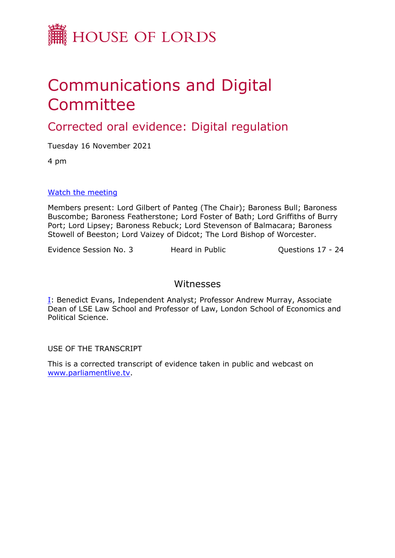

# Communications and Digital Committee

# Corrected oral evidence: Digital regulation

Tuesday 16 November 2021

4 pm

#### [Watch](https://parliamentlive.tv/event/index/a3fd2ae2-47ba-428c-ad33-7adcd0494033) [the](https://parliamentlive.tv/event/index/a3fd2ae2-47ba-428c-ad33-7adcd0494033) [meeting](https://parliamentlive.tv/event/index/a3fd2ae2-47ba-428c-ad33-7adcd0494033)

Members present: Lord Gilbert of Panteg (The Chair); Baroness Bull; Baroness Buscombe; Baroness Featherstone; Lord Foster of Bath; Lord Griffiths of Burry Port; Lord Lipsey; Baroness Rebuck; Lord Stevenson of Balmacara; Baroness Stowell of Beeston; Lord Vaizey of Didcot; The Lord Bishop of Worcester.

Evidence Session No. 3 Heard in Public Cuestions 17 - 24

## Witnesses

I: Benedict Evans, Independent Analyst; Professor Andrew Murray, Associate Dean of LSE Law School and Professor of Law, London School of Economics and Political Science.

USE OF THE TRANSCRIPT

This is a corrected transcript of evidence taken in public and webcast on [www.parliamentlive.tv](http://www.parliamentlive.tv/).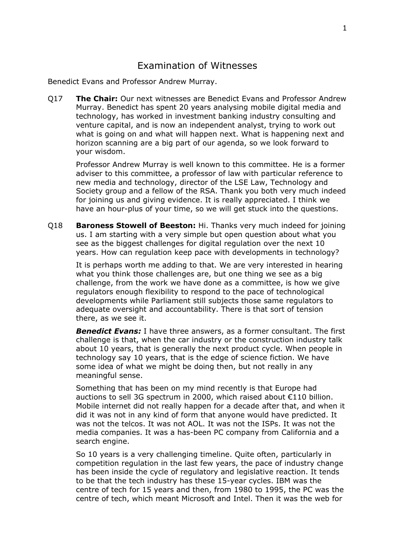### Examination of Witnesses

Benedict Evans and Professor Andrew Murray.

Q17 **The Chair:** Our next witnesses are Benedict Evans and Professor Andrew Murray. Benedict has spent 20 years analysing mobile digital media and technology, has worked in investment banking industry consulting and venture capital, and is now an independent analyst, trying to work out what is going on and what will happen next. What is happening next and horizon scanning are a big part of our agenda, so we look forward to your wisdom.

Professor Andrew Murray is well known to this committee. He is a former adviser to this committee, a professor of law with particular reference to new media and technology, director of the LSE Law, Technology and Society group and a fellow of the RSA. Thank you both very much indeed for joining us and giving evidence. It is really appreciated. I think we have an hour-plus of your time, so we will get stuck into the questions.

Q18 **Baroness Stowell of Beeston:** Hi. Thanks very much indeed for joining us. I am starting with a very simple but open question about what you see as the biggest challenges for digital regulation over the next 10 years. How can regulation keep pace with developments in technology?

It is perhaps worth me adding to that. We are very interested in hearing what you think those challenges are, but one thing we see as a big challenge, from the work we have done as a committee, is how we give regulators enough flexibility to respond to the pace of technological developments while Parliament still subjects those same regulators to adequate oversight and accountability. There is that sort of tension there, as we see it.

*Benedict Evans:* I have three answers, as a former consultant. The first challenge is that, when the car industry or the construction industry talk about 10 years, that is generally the next product cycle. When people in technology say 10 years, that is the edge of science fiction. We have some idea of what we might be doing then, but not really in any meaningful sense.

Something that has been on my mind recently is that Europe had auctions to sell 3G spectrum in 2000, which raised about €110 billion. Mobile internet did not really happen for a decade after that, and when it did it was not in any kind of form that anyone would have predicted. It was not the telcos. It was not AOL. It was not the ISPs. It was not the media companies. It was a has-been PC company from California and a search engine.

So 10 years is a very challenging timeline. Quite often, particularly in competition regulation in the last few years, the pace of industry change has been inside the cycle of regulatory and legislative reaction. It tends to be that the tech industry has these 15-year cycles. IBM was the centre of tech for 15 years and then, from 1980 to 1995, the PC was the centre of tech, which meant Microsoft and Intel. Then it was the web for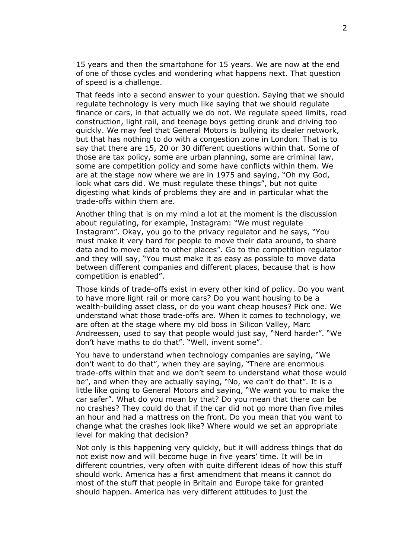15 years and then the smartphone for 15 years. We are now at the end of one of those cycles and wondering what happens next. That question of speed is a challenge.

That feeds into a second answer to your question. Saying that we should regulate technology is very much like saying that we should regulate finance or cars, in that actually we do not. We regulate speed limits, road construction, light rail, and teenage boys getting drunk and driving too quickly. We may feel that General Motors is bullying its dealer network, but that has nothing to do with a congestion zone in London. That is to say that there are 15, 20 or 30 different questions within that. Some of those are tax policy, some are urban planning, some are criminal law, some are competition policy and some have conflicts within them. We are at the stage now where we are in 1975 and saying, "Oh my God, look what cars did. We must regulate these things", but not quite digesting what kinds of problems they are and in particular what the trade-offs within them are.

Another thing that is on my mind a lot at the moment is the discussion about regulating, for example, Instagram: "We must regulate Instagram". Okay, you go to the privacy regulator and he says, "You must make it very hard for people to move their data around, to share data and to move data to other places". Go to the competition regulator and they will say, "You must make it as easy as possible to move data between different companies and different places, because that is how competition is enabled".

Those kinds of trade-offs exist in every other kind of policy. Do you want to have more light rail or more cars? Do you want housing to be a wealth-building asset class, or do you want cheap houses? Pick one. We understand what those trade-offs are. When it comes to technology, we are often at the stage where my old boss in Silicon Valley, Marc Andreessen, used to say that people would just say, "Nerd harder". "We don't have maths to do that". "Well, invent some".

You have to understand when technology companies are saying, "We don't want to do that", when they are saying, "There are enormous trade-offs within that and we don't seem to understand what those would be", and when they are actually saying, "No, we can't do that". It is a little like going to General Motors and saying, "We want you to make the car safer". What do you mean by that? Do you mean that there can be no crashes? They could do that if the car did not go more than five miles an hour and had a mattress on the front. Do you mean that you want to change what the crashes look like? Where would we set an appropriate level for making that decision?

Not only is this happening very quickly, but it will address things that do not exist now and will become huge in five years' time. It will be in different countries, very often with quite different ideas of how this stuff should work. America has a first amendment that means it cannot do most of the stuff that people in Britain and Europe take for granted should happen. America has very different attitudes to just the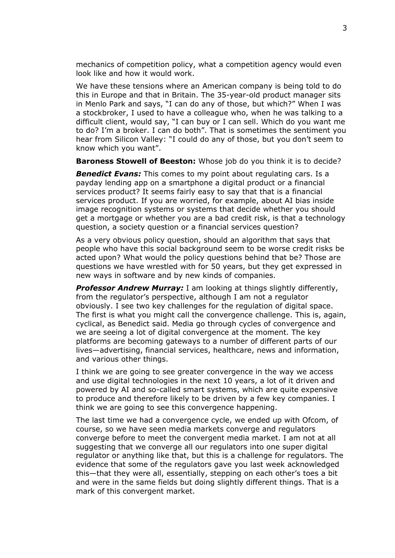mechanics of competition policy, what a competition agency would even look like and how it would work.

We have these tensions where an American company is being told to do this in Europe and that in Britain. The 35-year-old product manager sits in Menlo Park and says, "I can do any of those, but which?" When I was a stockbroker, I used to have a colleague who, when he was talking to a difficult client, would say, "I can buy or I can sell. Which do you want me to do? I'm a broker. I can do both". That is sometimes the sentiment you hear from Silicon Valley: "I could do any of those, but you don't seem to know which you want".

**Baroness Stowell of Beeston:** Whose job do you think it is to decide?

*Benedict Evans:* This comes to my point about regulating cars. Is a payday lending app on a smartphone a digital product or a financial services product? It seems fairly easy to say that that is a financial services product. If you are worried, for example, about AI bias inside image recognition systems or systems that decide whether you should get a mortgage or whether you are a bad credit risk, is that a technology question, a society question or a financial services question?

As a very obvious policy question, should an algorithm that says that people who have this social background seem to be worse credit risks be acted upon? What would the policy questions behind that be? Those are questions we have wrestled with for 50 years, but they get expressed in new ways in software and by new kinds of companies.

**Professor Andrew Murray:** I am looking at things slightly differently, from the regulator's perspective, although I am not a regulator obviously. I see two key challenges for the regulation of digital space. The first is what you might call the convergence challenge. This is, again, cyclical, as Benedict said. Media go through cycles of convergence and we are seeing a lot of digital convergence at the moment. The key platforms are becoming gateways to a number of different parts of our lives—advertising, financial services, healthcare, news and information, and various other things.

I think we are going to see greater convergence in the way we access and use digital technologies in the next 10 years, a lot of it driven and powered by AI and so-called smart systems, which are quite expensive to produce and therefore likely to be driven by a few key companies. I think we are going to see this convergence happening.

The last time we had a convergence cycle, we ended up with Ofcom, of course, so we have seen media markets converge and regulators converge before to meet the convergent media market. I am not at all suggesting that we converge all our regulators into one super digital regulator or anything like that, but this is a challenge for regulators. The evidence that some of the regulators gave you last week acknowledged this—that they were all, essentially, stepping on each other's toes a bit and were in the same fields but doing slightly different things. That is a mark of this convergent market.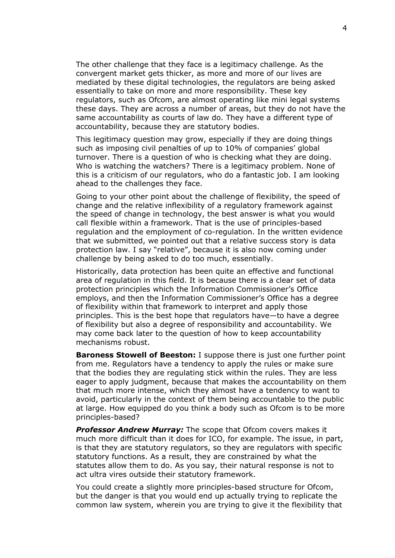The other challenge that they face is a legitimacy challenge. As the convergent market gets thicker, as more and more of our lives are mediated by these digital technologies, the regulators are being asked essentially to take on more and more responsibility. These key regulators, such as Ofcom, are almost operating like mini legal systems these days. They are across a number of areas, but they do not have the same accountability as courts of law do. They have a different type of accountability, because they are statutory bodies.

This legitimacy question may grow, especially if they are doing things such as imposing civil penalties of up to 10% of companies' global turnover. There is a question of who is checking what they are doing. Who is watching the watchers? There is a legitimacy problem. None of this is a criticism of our regulators, who do a fantastic job. I am looking ahead to the challenges they face.

Going to your other point about the challenge of flexibility, the speed of change and the relative inflexibility of a regulatory framework against the speed of change in technology, the best answer is what you would call flexible within a framework. That is the use of principles-based regulation and the employment of co-regulation. In the written evidence that we submitted, we pointed out that a relative success story is data protection law. I say "relative", because it is also now coming under challenge by being asked to do too much, essentially.

Historically, data protection has been quite an effective and functional area of regulation in this field. It is because there is a clear set of data protection principles which the Information Commissioner's Office employs, and then the Information Commissioner's Office has a degree of flexibility within that framework to interpret and apply those principles. This is the best hope that regulators have—to have a degree of flexibility but also a degree of responsibility and accountability. We may come back later to the question of how to keep accountability mechanisms robust.

**Baroness Stowell of Beeston:** I suppose there is just one further point from me. Regulators have a tendency to apply the rules or make sure that the bodies they are regulating stick within the rules. They are less eager to apply judgment, because that makes the accountability on them that much more intense, which they almost have a tendency to want to avoid, particularly in the context of them being accountable to the public at large. How equipped do you think a body such as Ofcom is to be more principles-based?

*Professor Andrew Murray:* The scope that Ofcom covers makes it much more difficult than it does for ICO, for example. The issue, in part, is that they are statutory regulators, so they are regulators with specific statutory functions. As a result, they are constrained by what the statutes allow them to do. As you say, their natural response is not to act ultra vires outside their statutory framework.

You could create a slightly more principles-based structure for Ofcom, but the danger is that you would end up actually trying to replicate the common law system, wherein you are trying to give it the flexibility that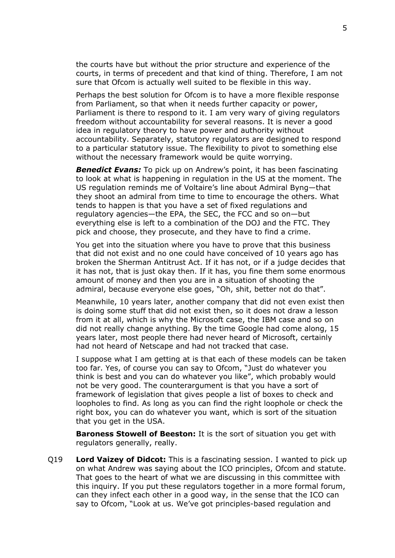the courts have but without the prior structure and experience of the courts, in terms of precedent and that kind of thing. Therefore, I am not sure that Ofcom is actually well suited to be flexible in this way.

Perhaps the best solution for Ofcom is to have a more flexible response from Parliament, so that when it needs further capacity or power, Parliament is there to respond to it. I am very wary of giving regulators freedom without accountability for several reasons. It is never a good idea in regulatory theory to have power and authority without accountability. Separately, statutory regulators are designed to respond to a particular statutory issue. The flexibility to pivot to something else without the necessary framework would be quite worrying.

**Benedict Evans:** To pick up on Andrew's point, it has been fascinating to look at what is happening in regulation in the US at the moment. The US regulation reminds me of Voltaire's line about Admiral Byng—that they shoot an admiral from time to time to encourage the others. What tends to happen is that you have a set of fixed regulations and regulatory agencies—the EPA, the SEC, the FCC and so on—but everything else is left to a combination of the DOJ and the FTC. They pick and choose, they prosecute, and they have to find a crime.

You get into the situation where you have to prove that this business that did not exist and no one could have conceived of 10 years ago has broken the Sherman Antitrust Act. If it has not, or if a judge decides that it has not, that is just okay then. If it has, you fine them some enormous amount of money and then you are in a situation of shooting the admiral, because everyone else goes, "Oh, shit, better not do that".

Meanwhile, 10 years later, another company that did not even exist then is doing some stuff that did not exist then, so it does not draw a lesson from it at all, which is why the Microsoft case, the IBM case and so on did not really change anything. By the time Google had come along, 15 years later, most people there had never heard of Microsoft, certainly had not heard of Netscape and had not tracked that case.

I suppose what I am getting at is that each of these models can be taken too far. Yes, of course you can say to Ofcom, "Just do whatever you think is best and you can do whatever you like", which probably would not be very good. The counterargument is that you have a sort of framework of legislation that gives people a list of boxes to check and loopholes to find. As long as you can find the right loophole or check the right box, you can do whatever you want, which is sort of the situation that you get in the USA.

**Baroness Stowell of Beeston:** It is the sort of situation you get with regulators generally, really.

Q19 **Lord Vaizey of Didcot:** This is a fascinating session. I wanted to pick up on what Andrew was saying about the ICO principles, Ofcom and statute. That goes to the heart of what we are discussing in this committee with this inquiry. If you put these regulators together in a more formal forum, can they infect each other in a good way, in the sense that the ICO can say to Ofcom, "Look at us. We've got principles-based regulation and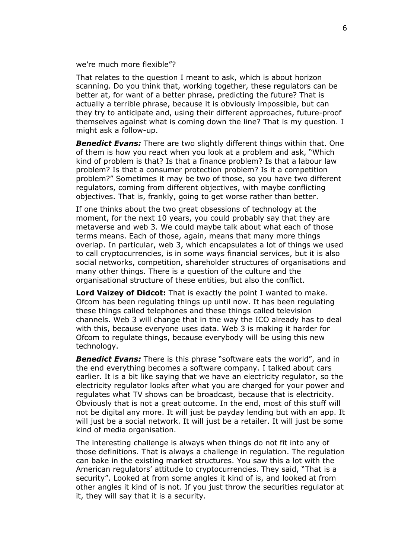we're much more flexible"?

That relates to the question I meant to ask, which is about horizon scanning. Do you think that, working together, these regulators can be better at, for want of a better phrase, predicting the future? That is actually a terrible phrase, because it is obviously impossible, but can they try to anticipate and, using their different approaches, future-proof themselves against what is coming down the line? That is my question. I might ask a follow-up.

*Benedict Evans:* There are two slightly different things within that. One of them is how you react when you look at a problem and ask, "Which kind of problem is that? Is that a finance problem? Is that a labour law problem? Is that a consumer protection problem? Is it a competition problem?" Sometimes it may be two of those, so you have two different regulators, coming from different objectives, with maybe conflicting objectives. That is, frankly, going to get worse rather than better.

If one thinks about the two great obsessions of technology at the moment, for the next 10 years, you could probably say that they are metaverse and web 3. We could maybe talk about what each of those terms means. Each of those, again, means that many more things overlap. In particular, web 3, which encapsulates a lot of things we used to call cryptocurrencies, is in some ways financial services, but it is also social networks, competition, shareholder structures of organisations and many other things. There is a question of the culture and the organisational structure of these entities, but also the conflict.

**Lord Vaizey of Didcot:** That is exactly the point I wanted to make. Ofcom has been regulating things up until now. It has been regulating these things called telephones and these things called television channels. Web 3 will change that in the way the ICO already has to deal with this, because everyone uses data. Web 3 is making it harder for Ofcom to regulate things, because everybody will be using this new technology.

*Benedict Evans:* There is this phrase "software eats the world", and in the end everything becomes a software company. I talked about cars earlier. It is a bit like saying that we have an electricity regulator, so the electricity regulator looks after what you are charged for your power and regulates what TV shows can be broadcast, because that is electricity. Obviously that is not a great outcome. In the end, most of this stuff will not be digital any more. It will just be payday lending but with an app. It will just be a social network. It will just be a retailer. It will just be some kind of media organisation.

The interesting challenge is always when things do not fit into any of those definitions. That is always a challenge in regulation. The regulation can bake in the existing market structures. You saw this a lot with the American regulators' attitude to cryptocurrencies. They said, "That is a security". Looked at from some angles it kind of is, and looked at from other angles it kind of is not. If you just throw the securities regulator at it, they will say that it is a security.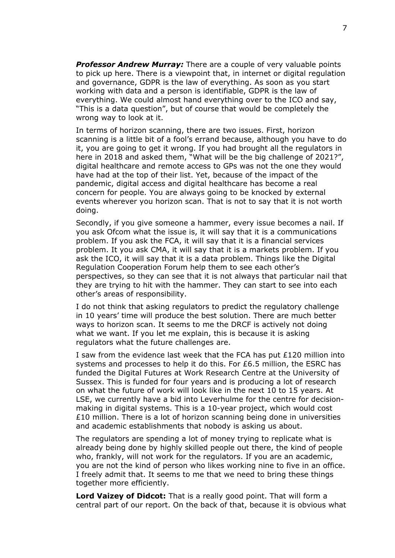*Professor Andrew Murray:* There are a couple of very valuable points to pick up here. There is a viewpoint that, in internet or digital regulation and governance, GDPR is the law of everything. As soon as you start working with data and a person is identifiable, GDPR is the law of everything. We could almost hand everything over to the ICO and say, "This is a data question", but of course that would be completely the wrong way to look at it.

In terms of horizon scanning, there are two issues. First, horizon scanning is a little bit of a fool's errand because, although you have to do it, you are going to get it wrong. If you had brought all the regulators in here in 2018 and asked them, "What will be the big challenge of 2021?", digital healthcare and remote access to GPs was not the one they would have had at the top of their list. Yet, because of the impact of the pandemic, digital access and digital healthcare has become a real concern for people. You are always going to be knocked by external events wherever you horizon scan. That is not to say that it is not worth doing.

Secondly, if you give someone a hammer, every issue becomes a nail. If you ask Ofcom what the issue is, it will say that it is a communications problem. If you ask the FCA, it will say that it is a financial services problem. It you ask CMA, it will say that it is a markets problem. If you ask the ICO, it will say that it is a data problem. Things like the Digital Regulation Cooperation Forum help them to see each other's perspectives, so they can see that it is not always that particular nail that they are trying to hit with the hammer. They can start to see into each other's areas of responsibility.

I do not think that asking regulators to predict the regulatory challenge in 10 years' time will produce the best solution. There are much better ways to horizon scan. It seems to me the DRCF is actively not doing what we want. If you let me explain, this is because it is asking regulators what the future challenges are.

I saw from the evidence last week that the FCA has put £120 million into systems and processes to help it do this. For £6.5 million, the ESRC has funded the Digital Futures at Work Research Centre at the University of Sussex. This is funded for four years and is producing a lot of research on what the future of work will look like in the next 10 to 15 years. At LSE, we currently have a bid into Leverhulme for the centre for decisionmaking in digital systems. This is a 10-year project, which would cost £10 million. There is a lot of horizon scanning being done in universities and academic establishments that nobody is asking us about.

The regulators are spending a lot of money trying to replicate what is already being done by highly skilled people out there, the kind of people who, frankly, will not work for the regulators. If you are an academic, you are not the kind of person who likes working nine to five in an office. I freely admit that. It seems to me that we need to bring these things together more efficiently.

**Lord Vaizey of Didcot:** That is a really good point. That will form a central part of our report. On the back of that, because it is obvious what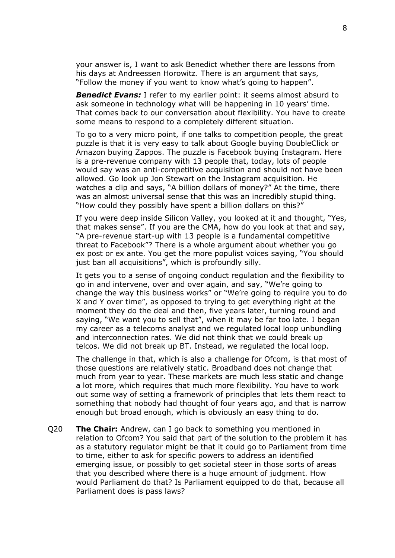your answer is, I want to ask Benedict whether there are lessons from his days at Andreessen Horowitz. There is an argument that says, "Follow the money if you want to know what's going to happen".

**Benedict Evans:** I refer to my earlier point: it seems almost absurd to ask someone in technology what will be happening in 10 years' time. That comes back to our conversation about flexibility. You have to create some means to respond to a completely different situation.

To go to a very micro point, if one talks to competition people, the great puzzle is that it is very easy to talk about Google buying DoubleClick or Amazon buying Zappos. The puzzle is Facebook buying Instagram. Here is a pre-revenue company with 13 people that, today, lots of people would say was an anti-competitive acquisition and should not have been allowed. Go look up Jon Stewart on the Instagram acquisition. He watches a clip and says, "A billion dollars of money?" At the time, there was an almost universal sense that this was an incredibly stupid thing. "How could they possibly have spent a billion dollars on this?"

If you were deep inside Silicon Valley, you looked at it and thought, "Yes, that makes sense". If you are the CMA, how do you look at that and say, "A pre-revenue start-up with 13 people is a fundamental competitive threat to Facebook"? There is a whole argument about whether you go ex post or ex ante. You get the more populist voices saying, "You should just ban all acquisitions", which is profoundly silly.

It gets you to a sense of ongoing conduct regulation and the flexibility to go in and intervene, over and over again, and say, "We're going to change the way this business works" or "We're going to require you to do X and Y over time", as opposed to trying to get everything right at the moment they do the deal and then, five years later, turning round and saying, "We want you to sell that", when it may be far too late. I began my career as a telecoms analyst and we regulated local loop unbundling and interconnection rates. We did not think that we could break up telcos. We did not break up BT. Instead, we regulated the local loop.

The challenge in that, which is also a challenge for Ofcom, is that most of those questions are relatively static. Broadband does not change that much from year to year. These markets are much less static and change a lot more, which requires that much more flexibility. You have to work out some way of setting a framework of principles that lets them react to something that nobody had thought of four years ago, and that is narrow enough but broad enough, which is obviously an easy thing to do.

Q20 **The Chair:** Andrew, can I go back to something you mentioned in relation to Ofcom? You said that part of the solution to the problem it has as a statutory regulator might be that it could go to Parliament from time to time, either to ask for specific powers to address an identified emerging issue, or possibly to get societal steer in those sorts of areas that you described where there is a huge amount of judgment. How would Parliament do that? Is Parliament equipped to do that, because all Parliament does is pass laws?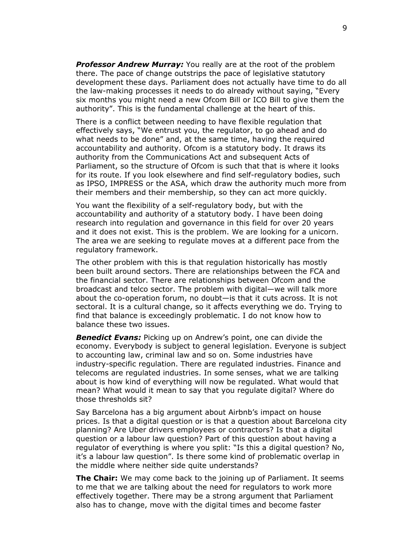*Professor Andrew Murray:* You really are at the root of the problem there. The pace of change outstrips the pace of legislative statutory development these days. Parliament does not actually have time to do all the law-making processes it needs to do already without saying, "Every six months you might need a new Ofcom Bill or ICO Bill to give them the authority". This is the fundamental challenge at the heart of this.

There is a conflict between needing to have flexible regulation that effectively says, "We entrust you, the regulator, to go ahead and do what needs to be done" and, at the same time, having the required accountability and authority. Ofcom is a statutory body. It draws its authority from the Communications Act and subsequent Acts of Parliament, so the structure of Ofcom is such that that is where it looks for its route. If you look elsewhere and find self-regulatory bodies, such as IPSO, IMPRESS or the ASA, which draw the authority much more from their members and their membership, so they can act more quickly.

You want the flexibility of a self-regulatory body, but with the accountability and authority of a statutory body. I have been doing research into regulation and governance in this field for over 20 years and it does not exist. This is the problem. We are looking for a unicorn. The area we are seeking to regulate moves at a different pace from the regulatory framework.

The other problem with this is that regulation historically has mostly been built around sectors. There are relationships between the FCA and the financial sector. There are relationships between Ofcom and the broadcast and telco sector. The problem with digital—we will talk more about the co-operation forum, no doubt—is that it cuts across. It is not sectoral. It is a cultural change, so it affects everything we do. Trying to find that balance is exceedingly problematic. I do not know how to balance these two issues.

**Benedict Evans:** Picking up on Andrew's point, one can divide the economy. Everybody is subject to general legislation. Everyone is subject to accounting law, criminal law and so on. Some industries have industry-specific regulation. There are regulated industries. Finance and telecoms are regulated industries. In some senses, what we are talking about is how kind of everything will now be regulated. What would that mean? What would it mean to say that you regulate digital? Where do those thresholds sit?

Say Barcelona has a big argument about Airbnb's impact on house prices. Is that a digital question or is that a question about Barcelona city planning? Are Uber drivers employees or contractors? Is that a digital question or a labour law question? Part of this question about having a regulator of everything is where you split: "Is this a digital question? No, it's a labour law question". Is there some kind of problematic overlap in the middle where neither side quite understands?

**The Chair:** We may come back to the joining up of Parliament. It seems to me that we are talking about the need for regulators to work more effectively together. There may be a strong argument that Parliament also has to change, move with the digital times and become faster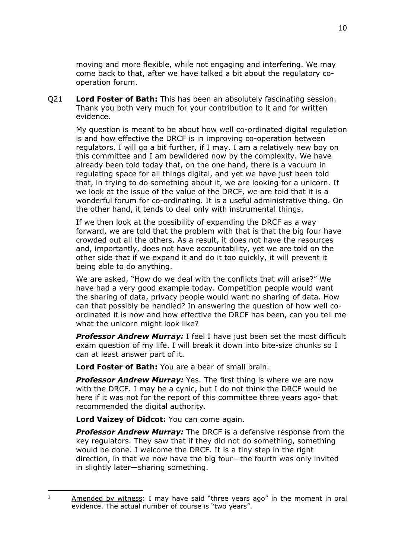moving and more flexible, while not engaging and interfering. We may come back to that, after we have talked a bit about the regulatory cooperation forum.

Q21 **Lord Foster of Bath:** This has been an absolutely fascinating session. Thank you both very much for your contribution to it and for written evidence.

My question is meant to be about how well co-ordinated digital regulation is and how effective the DRCF is in improving co-operation between regulators. I will go a bit further, if I may. I am a relatively new boy on this committee and I am bewildered now by the complexity. We have already been told today that, on the one hand, there is a vacuum in regulating space for all things digital, and yet we have just been told that, in trying to do something about it, we are looking for a unicorn. If we look at the issue of the value of the DRCF, we are told that it is a wonderful forum for co-ordinating. It is a useful administrative thing. On the other hand, it tends to deal only with instrumental things.

If we then look at the possibility of expanding the DRCF as a way forward, we are told that the problem with that is that the big four have crowded out all the others. As a result, it does not have the resources and, importantly, does not have accountability, yet we are told on the other side that if we expand it and do it too quickly, it will prevent it being able to do anything.

We are asked, "How do we deal with the conflicts that will arise?" We have had a very good example today. Competition people would want the sharing of data, privacy people would want no sharing of data. How can that possibly be handled? In answering the question of how well coordinated it is now and how effective the DRCF has been, can you tell me what the unicorn might look like?

*Professor Andrew Murray:* I feel I have just been set the most difficult exam question of my life. I will break it down into bite-size chunks so I can at least answer part of it.

**Lord Foster of Bath:** You are a bear of small brain.

*Professor Andrew Murray:* Yes. The first thing is where we are now with the DRCF. I may be a cynic, but I do not think the DRCF would be here if it was not for the report of this committee three years ago<sup>1</sup> that recommended the digital authority.

**Lord Vaizey of Didcot:** You can come again.

*Professor Andrew Murray:* The DRCF is a defensive response from the key regulators. They saw that if they did not do something, something would be done. I welcome the DRCF. It is a tiny step in the right direction, in that we now have the big four—the fourth was only invited in slightly later—sharing something.

<sup>&</sup>lt;sup>1</sup> Amended by witness: I may have said "three years ago" in the moment in oral evidence. The actual number of course is "two years".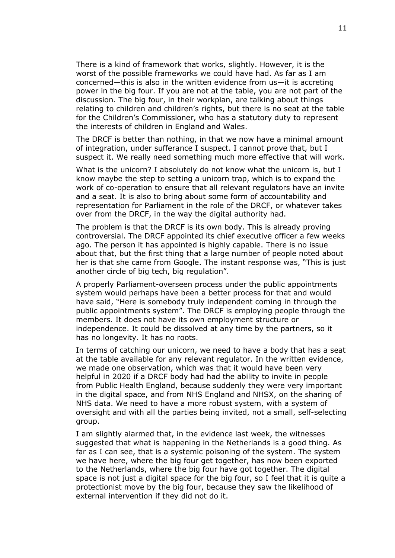There is a kind of framework that works, slightly. However, it is the worst of the possible frameworks we could have had. As far as I am concerned—this is also in the written evidence from us—it is accreting power in the big four. If you are not at the table, you are not part of the discussion. The big four, in their workplan, are talking about things relating to children and children's rights, but there is no seat at the table for the Children's Commissioner, who has a statutory duty to represent the interests of children in England and Wales.

The DRCF is better than nothing, in that we now have a minimal amount of integration, under sufferance I suspect. I cannot prove that, but I suspect it. We really need something much more effective that will work.

What is the unicorn? I absolutely do not know what the unicorn is, but I know maybe the step to setting a unicorn trap, which is to expand the work of co-operation to ensure that all relevant regulators have an invite and a seat. It is also to bring about some form of accountability and representation for Parliament in the role of the DRCF, or whatever takes over from the DRCF, in the way the digital authority had.

The problem is that the DRCF is its own body. This is already proving controversial. The DRCF appointed its chief executive officer a few weeks ago. The person it has appointed is highly capable. There is no issue about that, but the first thing that a large number of people noted about her is that she came from Google. The instant response was, "This is just another circle of big tech, big regulation".

A properly Parliament-overseen process under the public appointments system would perhaps have been a better process for that and would have said, "Here is somebody truly independent coming in through the public appointments system". The DRCF is employing people through the members. It does not have its own employment structure or independence. It could be dissolved at any time by the partners, so it has no longevity. It has no roots.

In terms of catching our unicorn, we need to have a body that has a seat at the table available for any relevant regulator. In the written evidence, we made one observation, which was that it would have been very helpful in 2020 if a DRCF body had had the ability to invite in people from Public Health England, because suddenly they were very important in the digital space, and from NHS England and NHSX, on the sharing of NHS data. We need to have a more robust system, with a system of oversight and with all the parties being invited, not a small, self-selecting group.

I am slightly alarmed that, in the evidence last week, the witnesses suggested that what is happening in the Netherlands is a good thing. As far as I can see, that is a systemic poisoning of the system. The system we have here, where the big four get together, has now been exported to the Netherlands, where the big four have got together. The digital space is not just a digital space for the big four, so I feel that it is quite a protectionist move by the big four, because they saw the likelihood of external intervention if they did not do it.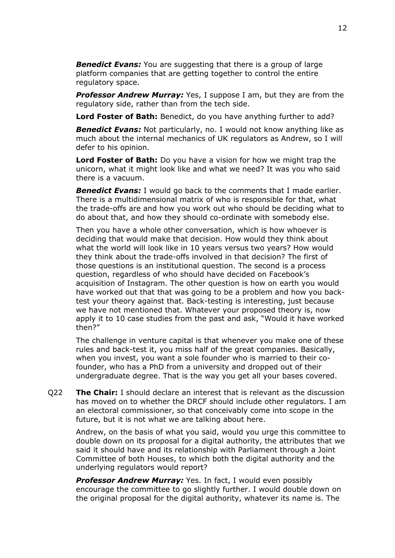*Benedict Evans:* You are suggesting that there is a group of large platform companies that are getting together to control the entire regulatory space.

*Professor Andrew Murray:* Yes, I suppose I am, but they are from the regulatory side, rather than from the tech side.

**Lord Foster of Bath:** Benedict, do you have anything further to add?

**Benedict Evans:** Not particularly, no. I would not know anything like as much about the internal mechanics of UK regulators as Andrew, so I will defer to his opinion.

**Lord Foster of Bath:** Do you have a vision for how we might trap the unicorn, what it might look like and what we need? It was you who said there is a vacuum.

**Benedict Evans:** I would go back to the comments that I made earlier. There is a multidimensional matrix of who is responsible for that, what the trade-offs are and how you work out who should be deciding what to do about that, and how they should co-ordinate with somebody else.

Then you have a whole other conversation, which is how whoever is deciding that would make that decision. How would they think about what the world will look like in 10 years versus two years? How would they think about the trade-offs involved in that decision? The first of those questions is an institutional question. The second is a process question, regardless of who should have decided on Facebook's acquisition of Instagram. The other question is how on earth you would have worked out that that was going to be a problem and how you backtest your theory against that. Back-testing is interesting, just because we have not mentioned that. Whatever your proposed theory is, now apply it to 10 case studies from the past and ask, "Would it have worked then?"

The challenge in venture capital is that whenever you make one of these rules and back-test it, you miss half of the great companies. Basically, when you invest, you want a sole founder who is married to their cofounder, who has a PhD from a university and dropped out of their undergraduate degree. That is the way you get all your bases covered.

Q22 **The Chair:** I should declare an interest that is relevant as the discussion has moved on to whether the DRCF should include other regulators. I am an electoral commissioner, so that conceivably come into scope in the future, but it is not what we are talking about here.

Andrew, on the basis of what you said, would you urge this committee to double down on its proposal for a digital authority, the attributes that we said it should have and its relationship with Parliament through a Joint Committee of both Houses, to which both the digital authority and the underlying regulators would report?

*Professor Andrew Murray:* Yes. In fact, I would even possibly encourage the committee to go slightly further. I would double down on the original proposal for the digital authority, whatever its name is. The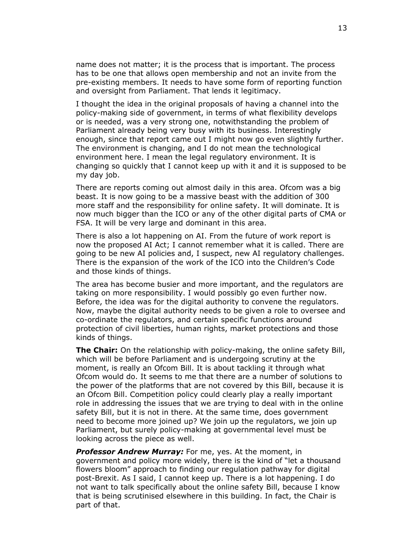name does not matter; it is the process that is important. The process has to be one that allows open membership and not an invite from the pre-existing members. It needs to have some form of reporting function and oversight from Parliament. That lends it legitimacy.

I thought the idea in the original proposals of having a channel into the policy-making side of government, in terms of what flexibility develops or is needed, was a very strong one, notwithstanding the problem of Parliament already being very busy with its business. Interestingly enough, since that report came out I might now go even slightly further. The environment is changing, and I do not mean the technological environment here. I mean the legal regulatory environment. It is changing so quickly that I cannot keep up with it and it is supposed to be my day job.

There are reports coming out almost daily in this area. Ofcom was a big beast. It is now going to be a massive beast with the addition of 300 more staff and the responsibility for online safety. It will dominate. It is now much bigger than the ICO or any of the other digital parts of CMA or FSA. It will be very large and dominant in this area.

There is also a lot happening on AI. From the future of work report is now the proposed AI Act; I cannot remember what it is called. There are going to be new AI policies and, I suspect, new AI regulatory challenges. There is the expansion of the work of the ICO into the Children's Code and those kinds of things.

The area has become busier and more important, and the regulators are taking on more responsibility. I would possibly go even further now. Before, the idea was for the digital authority to convene the regulators. Now, maybe the digital authority needs to be given a role to oversee and co-ordinate the regulators, and certain specific functions around protection of civil liberties, human rights, market protections and those kinds of things.

**The Chair:** On the relationship with policy-making, the online safety Bill, which will be before Parliament and is undergoing scrutiny at the moment, is really an Ofcom Bill. It is about tackling it through what Ofcom would do. It seems to me that there are a number of solutions to the power of the platforms that are not covered by this Bill, because it is an Ofcom Bill. Competition policy could clearly play a really important role in addressing the issues that we are trying to deal with in the online safety Bill, but it is not in there. At the same time, does government need to become more joined up? We join up the regulators, we join up Parliament, but surely policy-making at governmental level must be looking across the piece as well.

*Professor Andrew Murray:* For me, yes. At the moment, in government and policy more widely, there is the kind of "let a thousand flowers bloom" approach to finding our regulation pathway for digital post-Brexit. As I said, I cannot keep up. There is a lot happening. I do not want to talk specifically about the online safety Bill, because I know that is being scrutinised elsewhere in this building. In fact, the Chair is part of that.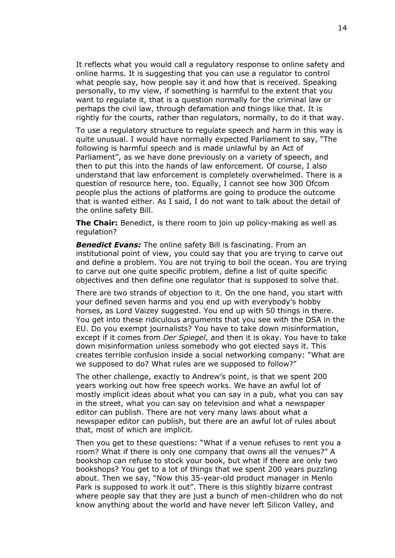It reflects what you would call a regulatory response to online safety and online harms. It is suggesting that you can use a regulator to control what people say, how people say it and how that is received. Speaking personally, to my view, if something is harmful to the extent that you want to regulate it, that is a question normally for the criminal law or perhaps the civil law, through defamation and things like that. It is rightly for the courts, rather than regulators, normally, to do it that way.

To use a regulatory structure to regulate speech and harm in this way is quite unusual. I would have normally expected Parliament to say, "The following is harmful speech and is made unlawful by an Act of Parliament", as we have done previously on a variety of speech, and then to put this into the hands of law enforcement. Of course, I also understand that law enforcement is completely overwhelmed. There is a question of resource here, too. Equally, I cannot see how 300 Ofcom people plus the actions of platforms are going to produce the outcome that is wanted either. As I said, I do not want to talk about the detail of the online safety Bill.

**The Chair:** Benedict, is there room to join up policy-making as well as regulation?

*Benedict Evans:* The online safety Bill is fascinating. From an institutional point of view, you could say that you are trying to carve out and define a problem. You are not trying to boil the ocean. You are trying to carve out one quite specific problem, define a list of quite specific objectives and then define one regulator that is supposed to solve that.

There are two strands of objection to it. On the one hand, you start with your defined seven harms and you end up with everybody's hobby horses, as Lord Vaizey suggested. You end up with 50 things in there. You get into these ridiculous arguments that you see with the DSA in the EU. Do you exempt journalists? You have to take down misinformation, except if it comes from *Der Spiegel*, and then it is okay. You have to take down misinformation unless somebody who got elected says it. This creates terrible confusion inside a social networking company: "What are we supposed to do? What rules are we supposed to follow?"

The other challenge, exactly to Andrew's point, is that we spent 200 years working out how free speech works. We have an awful lot of mostly implicit ideas about what you can say in a pub, what you can say in the street, what you can say on television and what a newspaper editor can publish. There are not very many laws about what a newspaper editor can publish, but there are an awful lot of rules about that, most of which are implicit.

Then you get to these questions: "What if a venue refuses to rent you a room? What if there is only one company that owns all the venues?" A bookshop can refuse to stock your book, but what if there are only two bookshops? You get to a lot of things that we spent 200 years puzzling about. Then we say, "Now this 35-year-old product manager in Menlo Park is supposed to work it out". There is this slightly bizarre contrast where people say that they are just a bunch of men-children who do not know anything about the world and have never left Silicon Valley, and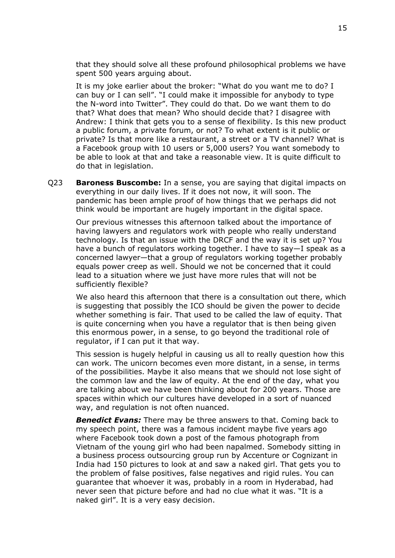that they should solve all these profound philosophical problems we have spent 500 years arguing about.

It is my joke earlier about the broker: "What do you want me to do? I can buy or I can sell". "I could make it impossible for anybody to type the N-word into Twitter". They could do that. Do we want them to do that? What does that mean? Who should decide that? I disagree with Andrew: I think that gets you to a sense of flexibility. Is this new product a public forum, a private forum, or not? To what extent is it public or private? Is that more like a restaurant, a street or a TV channel? What is a Facebook group with 10 users or 5,000 users? You want somebody to be able to look at that and take a reasonable view. It is quite difficult to do that in legislation.

Q23 **Baroness Buscombe:** In a sense, you are saying that digital impacts on everything in our daily lives. If it does not now, it will soon. The pandemic has been ample proof of how things that we perhaps did not think would be important are hugely important in the digital space.

Our previous witnesses this afternoon talked about the importance of having lawyers and regulators work with people who really understand technology. Is that an issue with the DRCF and the way it is set up? You have a bunch of regulators working together. I have to say—I speak as a concerned lawyer—that a group of regulators working together probably equals power creep as well. Should we not be concerned that it could lead to a situation where we just have more rules that will not be sufficiently flexible?

We also heard this afternoon that there is a consultation out there, which is suggesting that possibly the ICO should be given the power to decide whether something is fair. That used to be called the law of equity. That is quite concerning when you have a regulator that is then being given this enormous power, in a sense, to go beyond the traditional role of regulator, if I can put it that way.

This session is hugely helpful in causing us all to really question how this can work. The unicorn becomes even more distant, in a sense, in terms of the possibilities. Maybe it also means that we should not lose sight of the common law and the law of equity. At the end of the day, what you are talking about we have been thinking about for 200 years. Those are spaces within which our cultures have developed in a sort of nuanced way, and regulation is not often nuanced.

*Benedict Evans:* There may be three answers to that. Coming back to my speech point, there was a famous incident maybe five years ago where Facebook took down a post of the famous photograph from Vietnam of the young girl who had been napalmed. Somebody sitting in a business process outsourcing group run by Accenture or Cognizant in India had 150 pictures to look at and saw a naked girl. That gets you to the problem of false positives, false negatives and rigid rules. You can guarantee that whoever it was, probably in a room in Hyderabad, had never seen that picture before and had no clue what it was. "It is a naked girl". It is a very easy decision.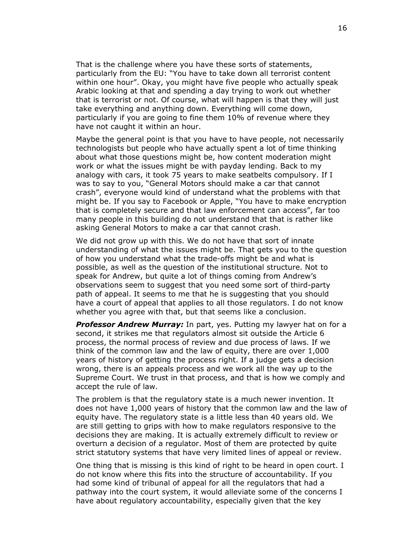That is the challenge where you have these sorts of statements, particularly from the EU: "You have to take down all terrorist content within one hour". Okay, you might have five people who actually speak Arabic looking at that and spending a day trying to work out whether that is terrorist or not. Of course, what will happen is that they will just take everything and anything down. Everything will come down, particularly if you are going to fine them 10% of revenue where they have not caught it within an hour.

Maybe the general point is that you have to have people, not necessarily technologists but people who have actually spent a lot of time thinking about what those questions might be, how content moderation might work or what the issues might be with payday lending. Back to my analogy with cars, it took 75 years to make seatbelts compulsory. If I was to say to you, "General Motors should make a car that cannot crash", everyone would kind of understand what the problems with that might be. If you say to Facebook or Apple, "You have to make encryption that is completely secure and that law enforcement can access", far too many people in this building do not understand that that is rather like asking General Motors to make a car that cannot crash.

We did not grow up with this. We do not have that sort of innate understanding of what the issues might be. That gets you to the question of how you understand what the trade-offs might be and what is possible, as well as the question of the institutional structure. Not to speak for Andrew, but quite a lot of things coming from Andrew's observations seem to suggest that you need some sort of third-party path of appeal. It seems to me that he is suggesting that you should have a court of appeal that applies to all those regulators. I do not know whether you agree with that, but that seems like a conclusion.

*Professor Andrew Murray:* In part, yes. Putting my lawyer hat on for a second, it strikes me that regulators almost sit outside the Article 6 process, the normal process of review and due process of laws. If we think of the common law and the law of equity, there are over 1,000 years of history of getting the process right. If a judge gets a decision wrong, there is an appeals process and we work all the way up to the Supreme Court. We trust in that process, and that is how we comply and accept the rule of law.

The problem is that the regulatory state is a much newer invention. It does not have 1,000 years of history that the common law and the law of equity have. The regulatory state is a little less than 40 years old. We are still getting to grips with how to make regulators responsive to the decisions they are making. It is actually extremely difficult to review or overturn a decision of a regulator. Most of them are protected by quite strict statutory systems that have very limited lines of appeal or review.

One thing that is missing is this kind of right to be heard in open court. I do not know where this fits into the structure of accountability. If you had some kind of tribunal of appeal for all the regulators that had a pathway into the court system, it would alleviate some of the concerns I have about regulatory accountability, especially given that the key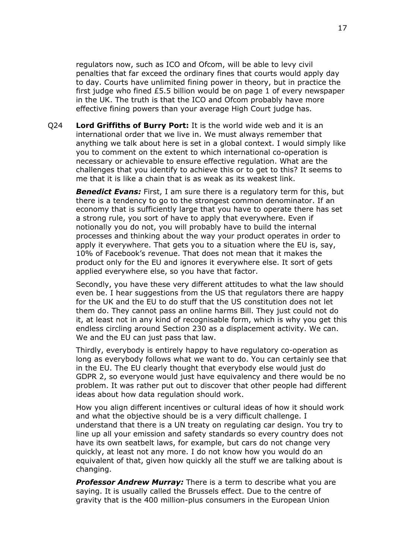regulators now, such as ICO and Ofcom, will be able to levy civil penalties that far exceed the ordinary fines that courts would apply day to day. Courts have unlimited fining power in theory, but in practice the first judge who fined £5.5 billion would be on page 1 of every newspaper in the UK. The truth is that the ICO and Ofcom probably have more effective fining powers than your average High Court judge has.

Q24 **Lord Griffiths of Burry Port:** It is the world wide web and it is an international order that we live in. We must always remember that anything we talk about here is set in a global context. I would simply like you to comment on the extent to which international co-operation is necessary or achievable to ensure effective regulation. What are the challenges that you identify to achieve this or to get to this? It seems to me that it is like a chain that is as weak as its weakest link.

**Benedict Evans:** First, I am sure there is a regulatory term for this, but there is a tendency to go to the strongest common denominator. If an economy that is sufficiently large that you have to operate there has set a strong rule, you sort of have to apply that everywhere. Even if notionally you do not, you will probably have to build the internal processes and thinking about the way your product operates in order to apply it everywhere. That gets you to a situation where the EU is, say, 10% of Facebook's revenue. That does not mean that it makes the product only for the EU and ignores it everywhere else. It sort of gets applied everywhere else, so you have that factor.

Secondly, you have these very different attitudes to what the law should even be. I hear suggestions from the US that regulators there are happy for the UK and the EU to do stuff that the US constitution does not let them do. They cannot pass an online harms Bill. They just could not do it, at least not in any kind of recognisable form, which is why you get this endless circling around Section 230 as a displacement activity. We can. We and the EU can just pass that law.

Thirdly, everybody is entirely happy to have regulatory co-operation as long as everybody follows what we want to do. You can certainly see that in the EU. The EU clearly thought that everybody else would just do GDPR 2, so everyone would just have equivalency and there would be no problem. It was rather put out to discover that other people had different ideas about how data regulation should work.

How you align different incentives or cultural ideas of how it should work and what the objective should be is a very difficult challenge. I understand that there is a UN treaty on regulating car design. You try to line up all your emission and safety standards so every country does not have its own seatbelt laws, for example, but cars do not change very quickly, at least not any more. I do not know how you would do an equivalent of that, given how quickly all the stuff we are talking about is changing.

**Professor Andrew Murray:** There is a term to describe what you are saying. It is usually called the Brussels effect. Due to the centre of gravity that is the 400 million-plus consumers in the European Union